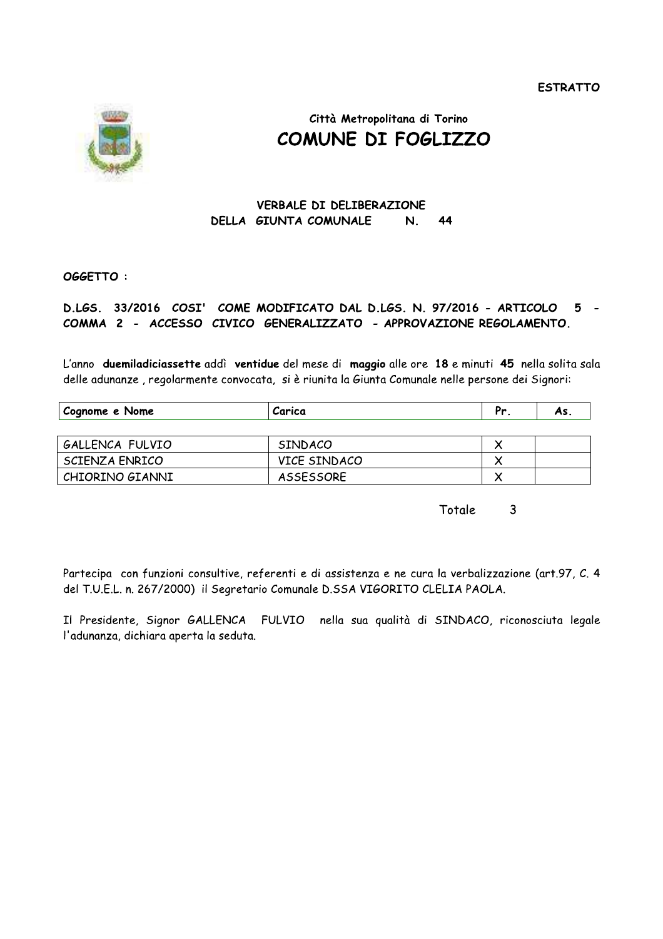**ESTRATTO** 



# Città Metropolitana di Torino COMUNE DI FOGLIZZO

#### **VERBALE DI DELIBERAZIONE** DELLA GIUNTA COMUNALE N. 44

### OGGETTO:

#### D.LGS. 33/2016 COSI' COME MODIFICATO DAL D.LGS. N. 97/2016 - ARTICOLO  $5 -$ COMMA 2 - ACCESSO CIVICO GENERALIZZATO - APPROVAZIONE REGOLAMENTO.

L'anno duemiladiciassette addì ventidue del mese di maggio alle ore 18 e minuti 45 nella solita sala delle adunanze, regolarmente convocata, si è riunita la Giunta Comunale nelle persone dei Signori:

| Cognome e Nome  | Carica         | Pr | As. |
|-----------------|----------------|----|-----|
|                 |                |    |     |
| GALLENCA FULVIO | <b>SINDACO</b> |    |     |
| SCIENZA ENRICO  | VICE SINDACO   |    |     |
| CHIORINO GIANNI | ASSESSORE      |    |     |

Totale  $\overline{3}$ 

Partecipa con funzioni consultive, referenti e di assistenza e ne cura la verbalizzazione (art.97, C. 4 del T.U.E.L. n. 267/2000) il Segretario Comunale D.SSA VIGORITO CLELIA PAOLA.

Il Presidente, Signor GALLENCA FULVIO nella sua qualità di SINDACO, riconosciuta legale l'adunanza, dichiara aperta la seduta.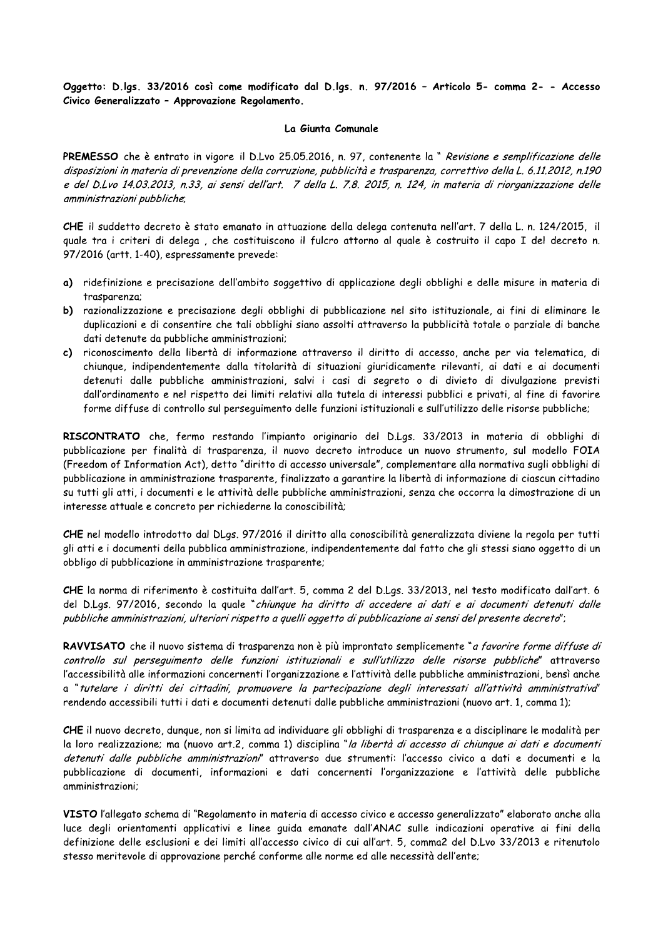Oggetto: D.Igs. 33/2016 così come modificato dai D.Igs. n. 97/2016 - Articolo 5- comma 2- - Accesso Civico Generalizzato - Approvazione Regolamento.

### La Giunta Comunale

6 così come modificato dal D.lgs. n. 97<br>provazione Regolamento.<br>La Giunta Comunale<br>o in vigore il D.Lvo 25.05.2016, n. 97, con<br>prevenzione della corruzione, pubblicità e t<br>n.33, ai sensi dell'art. 7 della L. 7.8. 2015<br>è st PREMESSO che è entrato in vigore il D.Lvo 25.05.2016, n. 97, contenente la " Revisione e semplificazione delle Oggetto: D.lgs. 33/2016 così come modificato dal D.lgs. n. 97/2016 - Articolo 5- comma 2- - Accesso<br>Civico Generalizzato - Approvazione Regolamento.<br>La Giunta Comunale<br>disposizioni in materia di prevenzione della corruzion Oggetto: D.lgs. 33/2016 così come modificato dal D.lgs. n. 97/2016 - Articolo 5- comma 2- - Accesso<br>Civico Generalizzato - Approvazione Regolamento.<br>La Giunta Comunale<br>PREMESSO che è entrato in vigore il D.Lvo 25.05.2016, Vernicolo 3- Chinnel 2- - Accessor<br>Civico Generalizzato - Approvazione Regolamento.<br>
La Giunta Comunale<br>
PREMESSO che è entrato in vigore il D.Lvo 25.05.2016, n. 97, contenente la "*Revisione e semplificazione delle*<br> *dis* La Giume de la Contrata di prevenzione Regolamento.<br>
La Giume di D.Lvo 25.05.2<br>
disposizioni in materia di prevenzione della corruzione<br>
e del D.Lvo 14.03.2013, n.33, ai sensi dell'art. 7 de<br>
amministrazioni pubbliche;<br>
CH

CHE il suddetto decreto è stato emanato in attuazione della delega contenuta nell'art. 7 della L. n. 124/2015, il guale tra i criteri di delega, che costituiscono il fulcro attorno al guale è costruito il capo I del decreto n. 97/2016 (artt. 1-40), espressamente prevede:

- a) ridefinizione e precisazione dell'ambito soggettivo di applicazione degli obblighi e delle misure in materia di trasparenza;
- b) razionalizzazione e precisazione degli obblighi di pubblicazione nel sito istituzionale, ai fini di eliminare le duplicazioni e di consentire che tali obblighi siano assolti attraverso la pubblicità totale o parziale di banche dati detenute da pubbliche amministrazioni:
- c) riconoscimento della libertà di informazione attraverso il diritto di accesso, anche per via telematica, di chiungue, indipendentemente dalla titolarità di situazioni giuridicamente rilevanti, ai dati e ai documenti detenuti dalle pubbliche amministrazioni, salvi i casi di segreto o di divieto di divulgazione previsti dall'ordinamento e nel rispetto dei limiti relativi alla tutela di interessi pubblici e privati, al fine di favorire forme diffuse di controllo sul perseguimento delle funzioni istituzionali e sull'utilizzo delle risorse pubbliche;

 ${\sf RISCONIRAIO}$  che, fermo restando l'impianto originario del D.Lgs. 33/2013 in materia di obblighi di pubblicazione per finalità di trasparenza, il nuovo decreto introduce un nuovo strumento, sul modello FOIA (Freedom of Information Act), detto "diritto di accesso universale", complementare alla normativa sugli obblighi di pubblicazione in amministrazione trasparente, finalizzato a garantire la libertà di informazione di ciascun cittadino su tutti gli atti, i documenti e le attività delle pubbliche amministrazioni, senza che occorra la dimostrazione di un interesse attuale e concreto per richiederne la conoscibilità;

CHE nel modello introdotto dal DLgs. 97/2016 il diritto alla conoscibilità generalizzata diviene la regola per tutti gli atti e i documenti della pubblica amministrazione, indipendentemente dal fatto che gli stessi siano oggetto di un obbligo di pubblicazione in amministrazione trasparente;

CHE la norma di riferimento è costituita dall'art. 5, comma 2 del D.Lgs. 33/2013, nel testo modificato dall'art. 6<br>del D.Lgs. 97/2016, secondo la quale "*chiunque ha diritto di accedere ai dati e ai documenti detenuti dall* 

meresse aritane e concreto per richieaerie na conoscionia.<br>CHE nel modello introdotto dal DLgs. 97/2016 il diritto alla conoscibilità generalizzata diviene la regola per tutti<br>gli atti e i documenti della pubblica amminist CHE nel modello introdotto dal DLgs. 97/2016 il diritto alla conoscibilità generalizzata diviene la regola per tutti<br>gli atti e i documenti della pubblica amministrazione, indipendentemente dal fatto che gli stessi siano o gon and inferimental publication in a mannihistrazione interpendente.<br>
CHE la norma di riferimento è costituita dall'art. 5, comma 2 del D.Lgs. 33/2013, nel testo modificato dall'art. 6<br>
del D.Lgs. 37/2016, secondo la qual CHE la norma di riferimento è costituita dall'art. 5, comma 2 del D.Lgs. 33/2013, nel testo modificato dall'art. 6<br>del D.Lgs. 97/2016, secondo la quale "chiungue ha diritto di accedere ai dati e ai documenti detenuti delle

CHE il nuovo decreto, dunque, non si limita ad individuare gli obblighi di trasparenza e a disciplinare le modalità per<br>la loro realizzazione; ma (nuovo art.2, comma 1) disciplina "*la libertà di accesso di chiunque ai dat* xentrollo sul perseguimento delle funzioni istituzionali e sull'utilizzo delle risorse pubbliche" attraverso<br>l'accessibilità alle informazioni concernenti l'organizzazione e l'attività delle pubbliche mministrazioni, bensì Container de la informazioni concernenti l'organizzazione e l'attività delle pubbliche amministrazioni, bensì anche<br>l'accessibilità alle informazioni concernenti l'organizzazione e l'attività delle pubbliche amministrazion

VISTO l'allegato schema di "Regolamento in materia di accesso civico e accesso generalizzato" elaborato anche alla luce degli orientamenti applicativi e linee guida emanate dall'ANAC sulle indicazioni operative ai fini della definizione delle esclusioni e dei limiti all'accesso civico di cui all'art. 5, comma2 del D.Lvo 33/2013 e ritenutolo stesso meritevole di approvazione perché conforme alle norme ed alle necessità dell'ente;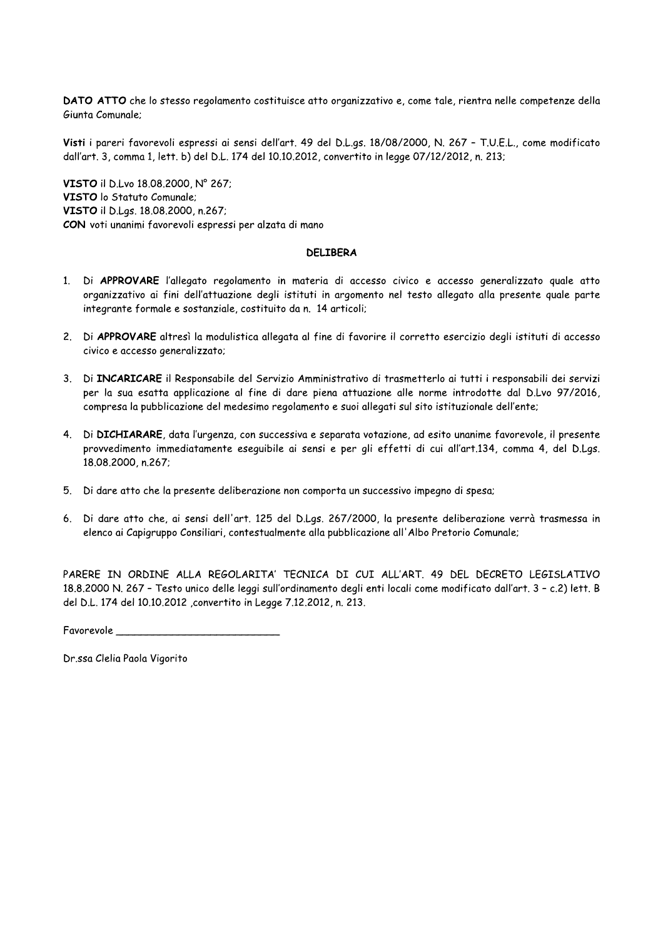DATO ATTO che lo stesso regolamento costituisce atto organizzativo e, come tale, rientra nelle competenze della Giunta Comunale;

Visti i pareri favorevoli espressi ai sensi dell'art. 49 del D.L.gs. 18/08/2000, N. 267 - T.U.E.L., come modificato dall'art. 3, comma 1, lett. b) del D.L. 174 del 10.10.2012, convertito in legge 07/12/2012, n. 213;

VISTO il D.Lvo 18.08.2000, Nº 267; VISTO lo Statuto Comunale; VISTO il D.Lqs. 18.08.2000, n.267; CON voti unanimi favorevoli espressi per alzata di mano

### **DELIBERA**

- 1. Di APPROVARE l'allegato regolamento in materia di accesso civico e accesso generalizzato quale atto organizzativo ai fini dell'attuazione degli istituti in argomento nel testo allegato alla presente quale parte integrante formale e sostanziale, costituito da n. 14 articoli;
- 2. Di APPROVARE altresì la modulistica allegata al fine di favorire il corretto esercizio degli istituti di accesso civico e accesso generalizzato;
- 3. Di INCARICARE il Responsabile del Servizio Amministrativo di trasmetterlo ai tutti i responsabili dei servizi per la sua esatta applicazione al fine di dare piena attuazione alle norme introdotte dal D.Lvo 97/2016, compresa la pubblicazione del medesimo regolamento e suoi allegati sul sito istituzionale dell'ente;
- 4. Di DICHIARARE, data l'urgenza, con successiva e separata votazione, ad esito unanime favorevole, il presente provvedimento immediatamente eseguibile ai sensi e per gli effetti di cui all'art.134, comma 4, del D.Las. 18.08.2000, n.267;
- 5. Di dare atto che la presente deliberazione non comporta un successivo impegno di spesa;
- 6. Di dare atto che, ai sensi dell'art. 125 del D.Lgs. 267/2000, la presente deliberazione verrà trasmessa in elenco ai Capigruppo Consiliari, contestualmente alla pubblicazione all'Albo Pretorio Comunale;

PARERE IN ORDINE ALLA REGOLARITA' TECNICA DI CUI ALL'ART. 49 DEL DECRETO LEGISLATIVO 18.8.2000 N. 267 - Testo unico delle leggi sull'ordinamento degli enti locali come modificato dall'art. 3 - c.2) lett. B del D.L. 174 del 10.10.2012, convertito in Legge 7.12.2012, n. 213.

Favorevole to the contract of the contract of the contract of the contract of the contract of the contract of the contract of the contract of the contract of the contract of the contract of the contract of the contract of

Dr.ssa Clelia Paola Vigorito